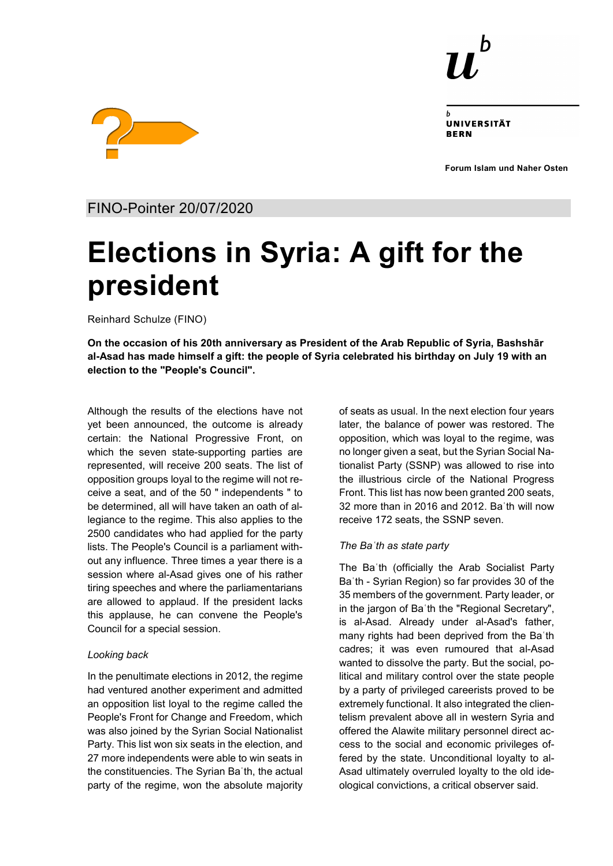

UNIVERSITÄT **RERN** 

**Forum Islam und Naher Osten**



FINO-Pointer 20/07/2020

# **Elections in Syria: A gift for the president**

Reinhard Schulze (FINO)

**On the occasion of his 20th anniversary as President of the Arab Republic of Syria, Bashshār al-Asad has made himself a gift: the people of Syria celebrated his birthday on July 19 with an election to the "People's Council".**

Although the results of the elections have not yet been announced, the outcome is already certain: the National Progressive Front, on which the seven state-supporting parties are represented, will receive 200 seats. The list of opposition groups loyal to the regime will not receive a seat, and of the 50 " independents " to be determined, all will have taken an oath of allegiance to the regime. This also applies to the 2500 candidates who had applied for the party lists. The People's Council is a parliament without any influence. Three times a year there is a session where al-Asad gives one of his rather tiring speeches and where the parliamentarians are allowed to applaud. If the president lacks this applause, he can convene the People's Council for a special session.

## *Looking back*

In the penultimate elections in 2012, the regime had ventured another experiment and admitted an opposition list loyal to the regime called the People's Front for Change and Freedom, which was also joined by the Syrian Social Nationalist Party. This list won six seats in the election, and 27 more independents were able to win seats in the constituencies. The Syrian Baʿth, the actual party of the regime, won the absolute majority of seats as usual. In the next election four years later, the balance of power was restored. The opposition, which was loyal to the regime, was no longer given a seat, but the Syrian Social Nationalist Party (SSNP) was allowed to rise into the illustrious circle of the National Progress Front. This list has now been granted 200 seats, 32 more than in 2016 and 2012. Baʿth will now receive 172 seats, the SSNP seven.

# *The Baʿth as state party*

The Baʿth (officially the Arab Socialist Party Baʿth - Syrian Region) so far provides 30 of the 35 members of the government. Party leader, or in the jargon of Baʿth the "Regional Secretary", is al-Asad. Already under al-Asad's father, many rights had been deprived from the Baʿth cadres; it was even rumoured that al-Asad wanted to dissolve the party. But the social, political and military control over the state people by a party of privileged careerists proved to be extremely functional. It also integrated the clientelism prevalent above all in western Syria and offered the Alawite military personnel direct access to the social and economic privileges offered by the state. Unconditional loyalty to al-Asad ultimately overruled loyalty to the old ideological convictions, a critical observer said.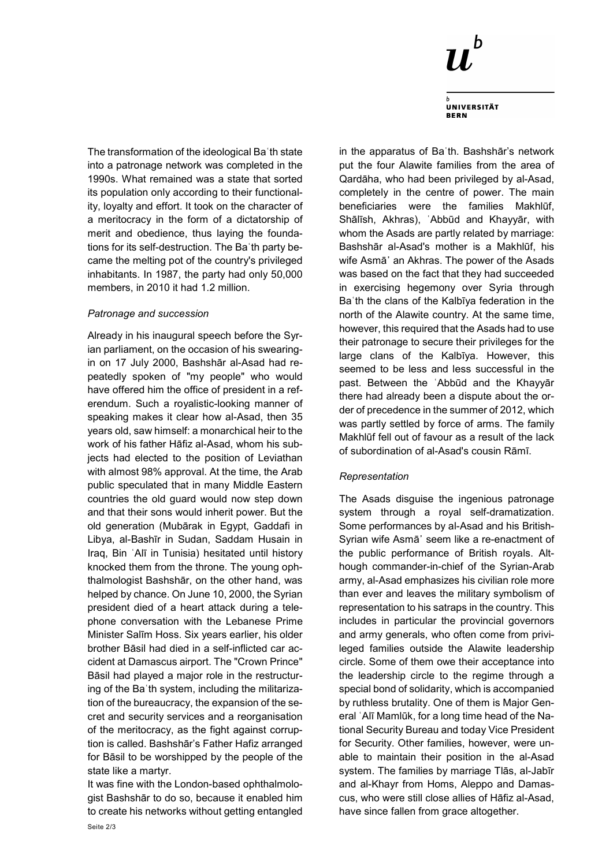

**UNIVERSITÄT BERN** 

The transformation of the ideological Baʿth state into a patronage network was completed in the 1990s. What remained was a state that sorted its population only according to their functionality, loyalty and effort. It took on the character of a meritocracy in the form of a dictatorship of merit and obedience, thus laying the foundations for its self-destruction. The Baʿth party became the melting pot of the country's privileged inhabitants. In 1987, the party had only 50,000 members, in 2010 it had 1.2 million.

#### *Patronage and succession*

Already in his inaugural speech before the Syrian parliament, on the occasion of his swearingin on 17 July 2000, Bashshār al-Asad had repeatedly spoken of "my people" who would have offered him the office of president in a referendum. Such a royalistic-looking manner of speaking makes it clear how al-Asad, then 35 years old, saw himself: a monarchical heir to the work of his father Hāfiz al-Asad, whom his subjects had elected to the position of Leviathan with almost 98% approval. At the time, the Arab public speculated that in many Middle Eastern countries the old guard would now step down and that their sons would inherit power. But the old generation (Mubārak in Egypt, Gaddafi in Libya, al-Bashīr in Sudan, Saddam Husain in Iraq, Bin ʿAlī in Tunisia) hesitated until history knocked them from the throne. The young ophthalmologist Bashshār, on the other hand, was helped by chance. On June 10, 2000, the Syrian president died of a heart attack during a telephone conversation with the Lebanese Prime Minister Salīm Hoss. Six years earlier, his older brother Bāsil had died in a self-inflicted car accident at Damascus airport. The "Crown Prince" Bāsil had played a major role in the restructuring of the Baʿth system, including the militarization of the bureaucracy, the expansion of the secret and security services and a reorganisation of the meritocracy, as the fight against corruption is called. Bashshār's Father Hafiz arranged for Bāsil to be worshipped by the people of the state like a martyr.

It was fine with the London-based ophthalmologist Bashshār to do so, because it enabled him to create his networks without getting entangled

in the apparatus of Baʿth. Bashshār's network put the four Alawite families from the area of Qardāha, who had been privileged by al-Asad, completely in the centre of power. The main beneficiaries were the families Makhlūf, Shālīsh, Akhras), ʿAbbūd and Khayyār, with whom the Asads are partly related by marriage: Bashshār al-Asad's mother is a Makhlūf, his wife Asmā᾽ an Akhras. The power of the Asads was based on the fact that they had succeeded in exercising hegemony over Syria through Baʿth the clans of the Kalbīya federation in the north of the Alawite country. At the same time, however, this required that the Asads had to use their patronage to secure their privileges for the large clans of the Kalbīya. However, this seemed to be less and less successful in the past. Between the ʿAbbūd and the Khayyār there had already been a dispute about the order of precedence in the summer of 2012, which was partly settled by force of arms. The family Makhlūf fell out of favour as a result of the lack of subordination of al-Asad's cousin Rāmī.

## *Representation*

The Asads disguise the ingenious patronage system through a royal self-dramatization. Some performances by al-Asad and his British-Syrian wife Asmā᾽ seem like a re-enactment of the public performance of British royals. Although commander-in-chief of the Syrian-Arab army, al-Asad emphasizes his civilian role more than ever and leaves the military symbolism of representation to his satraps in the country. This includes in particular the provincial governors and army generals, who often come from privileged families outside the Alawite leadership circle. Some of them owe their acceptance into the leadership circle to the regime through a special bond of solidarity, which is accompanied by ruthless brutality. One of them is Major General ʿAlī Mamlūk, for a long time head of the National Security Bureau and today Vice President for Security. Other families, however, were unable to maintain their position in the al-Asad system. The families by marriage Tlās, al-Jabīr and al-Khayr from Homs, Aleppo and Damascus, who were still close allies of Hāfiz al-Asad, have since fallen from grace altogether.